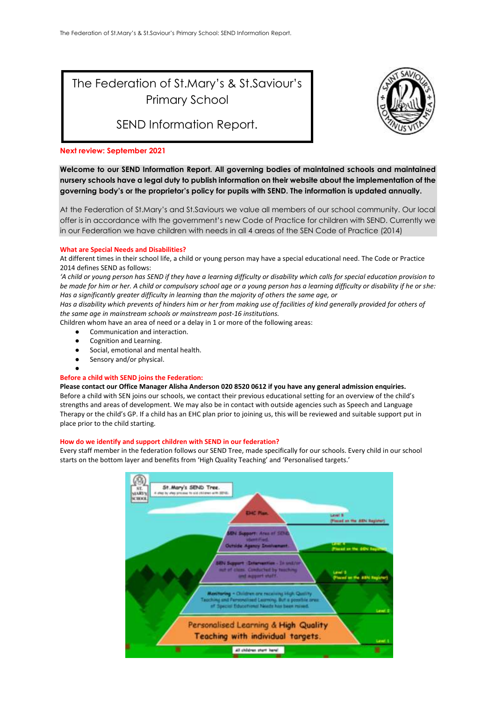# The Federation of St.Mary's & St.Saviour's Primary School

SEND Information Report.



#### **Next review: September 2021**

**Welcome to our SEND Information Report. All governing bodies of maintained schools and maintained nursery schools have a legal duty to publish information on their website about the implementation of the governing body's or the proprietor's policy for pupils with SEND. The information is updated annually.**

At the Federation of St.Mary's and St.Saviours we value all members of our school community. Our local offer is in accordance with the government's new Code of Practice for children with SEND. Currently we in our Federation we have children with needs in all 4 areas of the SEN Code of Practice (2014)

#### **What are Special Needs and Disabilities?**

At different times in their school life, a child or young person may have a special educational need. The Code or Practice 2014 defines SEND as follows:

*'A child or young person has SEND if they have a learning difficulty or disability which calls for special education provision to be made for him or her. A child or compulsory school age or a young person has a learning difficulty or disability if he or she: Has a significantly greater difficulty in learning than the majority of others the same age, or*

*Has a disability which prevents of hinders him or her from making use of facilities of kind generally provided for others of the same age in mainstream schools or mainstream post-16 institutions.* 

Children whom have an area of need or a delay in 1 or more of the following areas:

- Communication and interaction.
- Cognition and Learning.
- Social, emotional and mental health.
- Sensory and/or physical.

#### ● **Before a child with SEND joins the Federation:**

**Please contact our Office Manager Alisha Anderson 020 8520 0612 if you have any general admission enquiries.**  Before a child with SEN joins our schools, we contact their previous educational setting for an overview of the child's strengths and areas of development. We may also be in contact with outside agencies such as Speech and Language Therapy or the child's GP. If a child has an EHC plan prior to joining us, this will be reviewed and suitable support put in place prior to the child starting.

#### **How do we identify and support children with SEND in our federation?**

Every staff member in the federation follows our SEND Tree, made specifically for our schools. Every child in our school starts on the bottom layer and benefits from 'High Quality Teaching' and 'Personalised targets.'

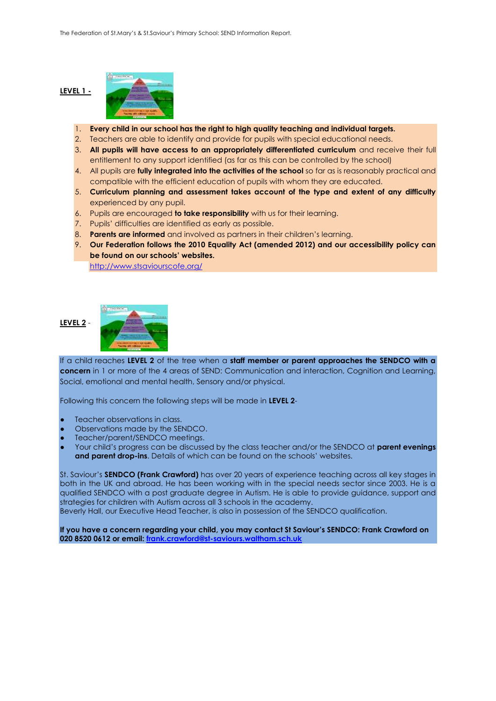# **LEVEL 1 -**



- 2. Teachers are able to identify and provide for pupils with special educational needs.
- 3. **All pupils will have access to an appropriately differentiated curriculum** and receive their full entitlement to any support identified (as far as this can be controlled by the school)
- 4. All pupils are **fully integrated into the activities of the school** so far as is reasonably practical and compatible with the efficient education of pupils with whom they are educated.
- 5. **Curriculum planning and assessment takes account of the type and extent of any difficulty** experienced by any pupil.
- 6. Pupils are encouraged **to take responsibility** with us for their learning.
- 7. Pupils' difficulties are identified as early as possible.
- 8. **Parents are informed** and involved as partners in their children's learning.
- 9. **Our Federation follows the 2010 Equality Act (amended 2012) and our accessibility policy can be found on our schools' websites.**

<http://www.stsaviourscofe.org/>

# **LEVEL 2** -



If a child reaches **LEVEL 2** of the tree when a **staff member or parent approaches the SENDCO with a concern** in 1 or more of the 4 areas of SEND: Communication and interaction, Cognition and Learning, Social, emotional and mental health, Sensory and/or physical.

Following this concern the following steps will be made in **LEVEL 2**-

- Teacher observations in class.
- Observations made by the SENDCO.
- Teacher/parent/SENDCO meetings.
- Your child's progress can be discussed by the class teacher and/or the SENDCO at **parent evenings and parent drop-ins**. Details of which can be found on the schools' websites.

St. Saviour's **SENDCO (Frank Crawford)** has over 20 years of experience teaching across all key stages in both in the UK and abroad. He has been working with in the special needs sector since 2003. He is a qualified SENDCO with a post graduate degree in Autism. He is able to provide guidance, support and strategies for children with Autism across all 3 schools in the academy.

Beverly Hall, our Executive Head Teacher, is also in possession of the SENDCO qualification.

**If you have a concern regarding your child, you may contact St Saviour's SENDCO: Frank Crawford on 020 8520 0612 or email[: frank.crawford@st-saviours.waltham.sch.uk](mailto:frank.crawford@st-saviours.waltham.sch.uk)**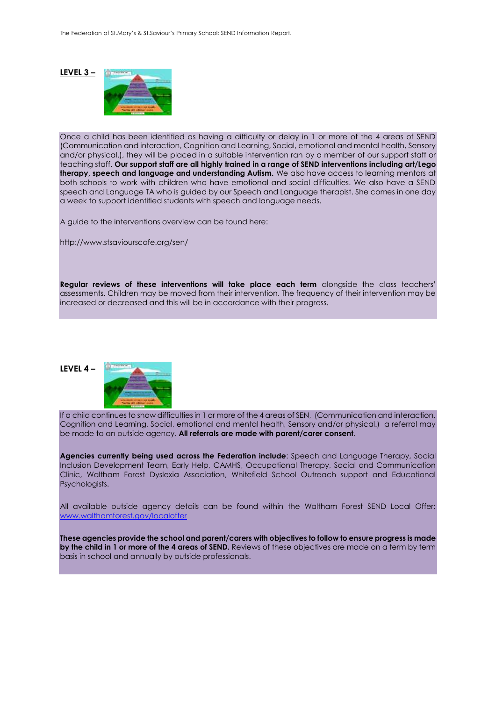#### **LEVEL 3 –**



Once a child has been identified as having a difficulty or delay in 1 or more of the 4 areas of SEND (Communication and interaction, Cognition and Learning, Social, emotional and mental health, Sensory and/or physical.), they will be placed in a suitable intervention ran by a member of our support staff or teaching staff. **Our support staff are all highly trained in a range of SEND interventions including art/Lego therapy, speech and language and understanding Autism.** We also have access to learning mentors at both schools to work with children who have emotional and social difficulties. We also have a SEND speech and Language TA who is guided by our Speech and Language therapist. She comes in one day a week to support identified students with speech and language needs.

A guide to the interventions overview can be found here:

http://www.stsaviourscofe.org/sen/

**Regular reviews of these interventions will take place each term** alongside the class teachers' assessments. Children may be moved from their intervention. The frequency of their intervention may be increased or decreased and this will be in accordance with their progress.

**LEVEL 4 –**



If a child continues to show difficulties in 1 or more of the 4 areas of SEN, (Communication and interaction, Cognition and Learning, Social, emotional and mental health, Sensory and/or physical.) a referral may be made to an outside agency. **All referrals are made with parent/carer consent**.

**Agencies currently being used across the Federation include**: Speech and Language Therapy, Social Inclusion Development Team, Early Help, CAMHS, Occupational Therapy, Social and Communication Clinic, Waltham Forest Dyslexia Association, Whitefield School Outreach support and Educational Psychologists.

All available outside agency details can be found within the Waltham Forest SEND Local Offer: [www.walthamforest.gov/localoffer](http://www.walthamforest.gov/localoffer)

**These agencies provide the school and parent/carers with objectives to follow to ensure progress is made by the child in 1 or more of the 4 areas of SEND.** Reviews of these objectives are made on a term by term basis in school and annually by outside professionals.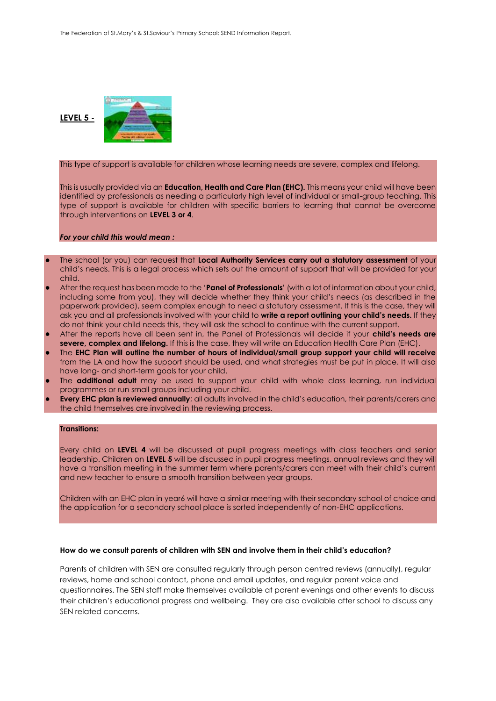

This type of support is available for children whose learning needs are severe, complex and lifelong.

This is usually provided via an **Education, Health and Care Plan (EHC).** This means your child will have been identified by professionals as needing a particularly high level of individual or small-group teaching. This type of support is available for children with specific barriers to learning that cannot be overcome through interventions on **LEVEL 3 or 4**.

#### *For your child this would mean :*

- The school (or you) can request that **Local Authority Services carry out a statutory assessment** of your child's needs. This is a legal process which sets out the amount of support that will be provided for your child.
- After the request has been made to the '**Panel of Professionals'** (with a lot of information about your child, including some from you), they will decide whether they think your child's needs (as described in the paperwork provided), seem complex enough to need a statutory assessment. If this is the case, they will ask you and all professionals involved with your child to **write a report outlining your child's needs.** If they do not think your child needs this, they will ask the school to continue with the current support.
- After the reports have all been sent in, the Panel of Professionals will decide if your **child's needs are severe, complex and lifelong.** If this is the case, they will write an Education Health Care Plan (EHC).
- The **EHC Plan will outline the number of hours of individual/small group support your child will receive** from the LA and how the support should be used, and what strategies must be put in place. It will also have long- and short-term goals for your child.
- The **additional adult** may be used to support your child with whole class learning, run individual programmes or run small groups including your child.
- **Every EHC plan is reviewed annually**; all adults involved in the child's education, their parents/carers and the child themselves are involved in the reviewing process.

#### **Transitions:**

Every child on **LEVEL 4** will be discussed at pupil progress meetings with class teachers and senior leadership. Children on **LEVEL 5** will be discussed in pupil progress meetings, annual reviews and they will have a transition meeting in the summer term where parents/carers can meet with their child's current and new teacher to ensure a smooth transition between year groups.

Children with an EHC plan in year6 will have a similar meeting with their secondary school of choice and the application for a secondary school place is sorted independently of non-EHC applications.

# **How do we consult parents of children with SEN and involve them in their child's education?**

Parents of children with SEN are consulted regularly through person centred reviews (annually), regular reviews, home and school contact, phone and email updates, and regular parent voice and questionnaires. The SEN staff make themselves available at parent evenings and other events to discuss their children's educational progress and wellbeing. They are also available after school to discuss any SEN related concerns.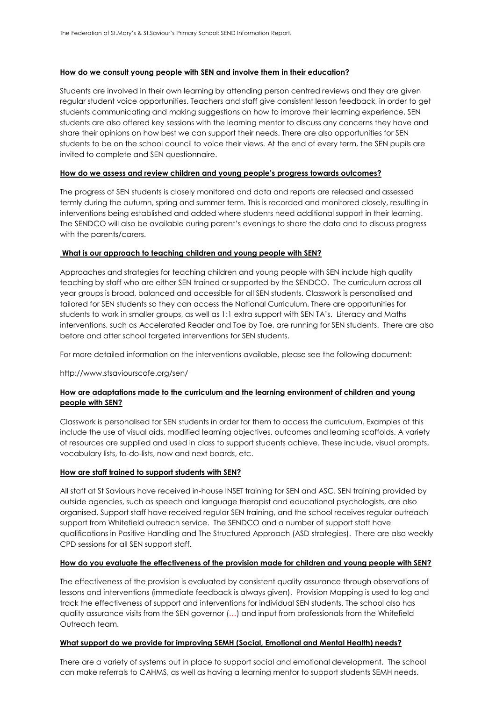# **How do we consult young people with SEN and involve them in their education?**

Students are involved in their own learning by attending person centred reviews and they are given regular student voice opportunities. Teachers and staff give consistent lesson feedback, in order to get students communicating and making suggestions on how to improve their learning experience. SEN students are also offered key sessions with the learning mentor to discuss any concerns they have and share their opinions on how best we can support their needs. There are also opportunities for SEN students to be on the school council to voice their views. At the end of every term, the SEN pupils are invited to complete and SEN questionnaire.

# **How do we assess and review children and young people's progress towards outcomes?**

The progress of SEN students is closely monitored and data and reports are released and assessed termly during the autumn, spring and summer term. This is recorded and monitored closely, resulting in interventions being established and added where students need additional support in their learning. The SENDCO will also be available during parent's evenings to share the data and to discuss progress with the parents/carers.

# **What is our approach to teaching children and young people with SEN?**

Approaches and strategies for teaching children and young people with SEN include high quality teaching by staff who are either SEN trained or supported by the SENDCO. The curriculum across all year groups is broad, balanced and accessible for all SEN students. Classwork is personalised and tailored for SEN students so they can access the National Curriculum. There are opportunities for students to work in smaller groups, as well as 1:1 extra support with SEN TA's. Literacy and Maths interventions, such as Accelerated Reader and Toe by Toe, are running for SEN students. There are also before and after school targeted interventions for SEN students.

For more detailed information on the interventions available, please see the following document:

# http://www.stsaviourscofe.org/sen/

# **How are adaptations made to the curriculum and the learning environment of children and young people with SEN?**

Classwork is personalised for SEN students in order for them to access the curriculum. Examples of this include the use of visual aids, modified learning objectives, outcomes and learning scaffolds. A variety of resources are supplied and used in class to support students achieve. These include, visual prompts, vocabulary lists, to-do-lists, now and next boards, etc.

#### **How are staff trained to support students with SEN?**

All staff at St Saviours have received in-house INSET training for SEN and ASC. SEN training provided by outside agencies, such as speech and language therapist and educational psychologists, are also organised. Support staff have received regular SEN training, and the school receives regular outreach support from Whitefield outreach service. The SENDCO and a number of support staff have qualifications in Positive Handling and The Structured Approach (ASD strategies). There are also weekly CPD sessions for all SEN support staff.

# **How do you evaluate the effectiveness of the provision made for children and young people with SEN?**

The effectiveness of the provision is evaluated by consistent quality assurance through observations of lessons and interventions (immediate feedback is always given). Provision Mapping is used to log and track the effectiveness of support and interventions for individual SEN students. The school also has quality assurance visits from the SEN governor (…) and input from professionals from the Whitefield Outreach team.

# **What support do we provide for improving SEMH (Social, Emotional and Mental Health) needs?**

There are a variety of systems put in place to support social and emotional development. The school can make referrals to CAHMS, as well as having a learning mentor to support students SEMH needs.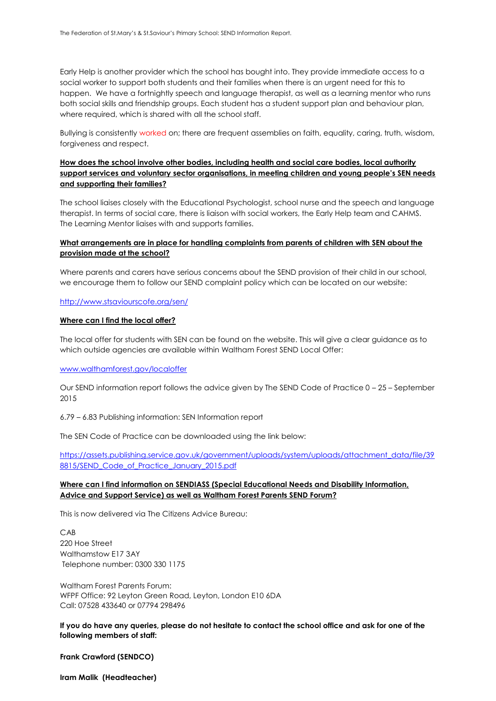Early Help is another provider which the school has bought into. They provide immediate access to a social worker to support both students and their families when there is an urgent need for this to happen. We have a fortnightly speech and language therapist, as well as a learning mentor who runs both social skills and friendship groups. Each student has a student support plan and behaviour plan, where required, which is shared with all the school staff.

Bullying is consistently worked on; there are frequent assemblies on faith, equality, caring, truth, wisdom, forgiveness and respect.

# **How does the school involve other bodies, including health and social care bodies, local authority support services and voluntary sector organisations, in meeting children and young people's SEN needs and supporting their families?**

The school liaises closely with the Educational Psychologist, school nurse and the speech and language therapist. In terms of social care, there is liaison with social workers, the Early Help team and CAHMS. The Learning Mentor liaises with and supports families.

# **What arrangements are in place for handling complaints from parents of children with SEN about the provision made at the school?**

Where parents and carers have serious concerns about the SEND provision of their child in our school, we encourage them to follow our SEND complaint policy which can be located on our website:

#### <http://www.stsaviourscofe.org/sen/>

#### **Where can I find the local offer?**

The local offer for students with SEN can be found on the website. This will give a clear guidance as to which outside agencies are available within Waltham Forest SEND Local Offer:

#### [www.walthamforest.gov/localoffer](http://www.walthamforest.gov/localoffer)

Our SEND information report follows the advice given by The SEND Code of Practice 0 – 25 – September 2015

6.79 – 6.83 Publishing information: SEN Information report

The SEN Code of Practice can be downloaded using the link below:

[https://assets.publishing.service.gov.uk/government/uploads/system/uploads/attachment\\_data/file/39](https://assets.publishing.service.gov.uk/government/uploads/system/uploads/attachment_data/file/398815/SEND_Code_of_Practice_January_2015.pdf) 8815/SEND Code of Practice January 2015.pdf

# **Where can I find information on SENDIASS (Special Educational Needs and Disability Information, Advice and Support Service) as well as Waltham Forest Parents SEND Forum?**

This is now delivered via The Citizens Advice Bureau:

CAB 220 Hoe Street Walthamstow E17 3AY Telephone number: 0300 330 1175

Waltham Forest Parents Forum: WFPF Office: 92 Leyton Green Road, Leyton, London E10 6DA Call: 07528 433640 or 07794 298496

**If you do have any queries, please do not hesitate to contact the school office and ask for one of the following members of staff:**

#### **Frank Crawford (SENDCO)**

**Iram Malik (Headteacher)**